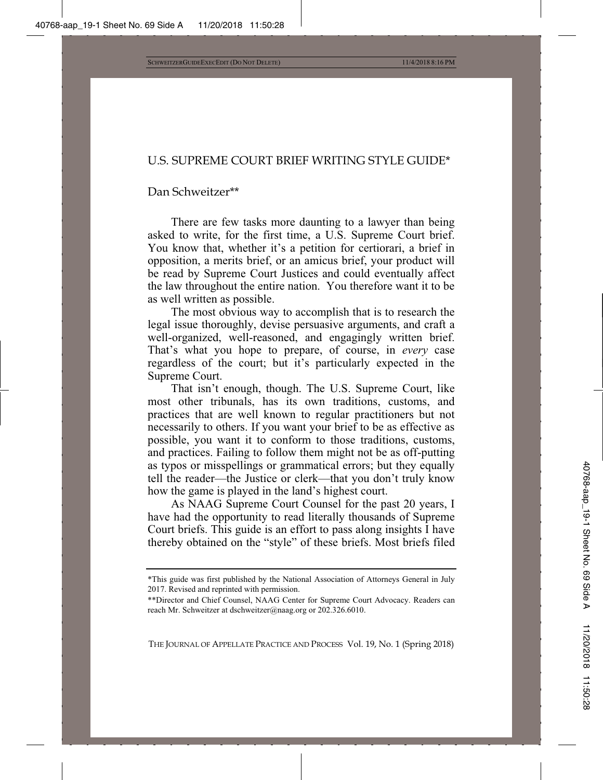## U.S. SUPREME COURT BRIEF WRITING STYLE GUIDE\*

### Dan Schweitzer\*\*

There are few tasks more daunting to a lawyer than being asked to write, for the first time, a U.S. Supreme Court brief. You know that, whether it's a petition for certiorari, a brief in opposition, a merits brief, or an amicus brief, your product will be read by Supreme Court Justices and could eventually affect the law throughout the entire nation. You therefore want it to be as well written as possible.

The most obvious way to accomplish that is to research the legal issue thoroughly, devise persuasive arguments, and craft a well-organized, well-reasoned, and engagingly written brief. That's what you hope to prepare, of course, in *every* case regardless of the court; but it's particularly expected in the Supreme Court.

That isn't enough, though. The U.S. Supreme Court, like most other tribunals, has its own traditions, customs, and practices that are well known to regular practitioners but not necessarily to others. If you want your brief to be as effective as possible, you want it to conform to those traditions, customs, and practices. Failing to follow them might not be as off-putting as typos or misspellings or grammatical errors; but they equally tell the reader—the Justice or clerk—that you don't truly know how the game is played in the land's highest court.

As NAAG Supreme Court Counsel for the past 20 years, I have had the opportunity to read literally thousands of Supreme Court briefs. This guide is an effort to pass along insights I have thereby obtained on the "style" of these briefs. Most briefs filed

<sup>\*</sup>This guide was first published by the National Association of Attorneys General in July 2017. Revised and reprinted with permission.

<sup>\*\*</sup>Director and Chief Counsel, NAAG Center for Supreme Court Advocacy. Readers can reach Mr. Schweitzer at dschweitzer@naag.org or 202.326.6010.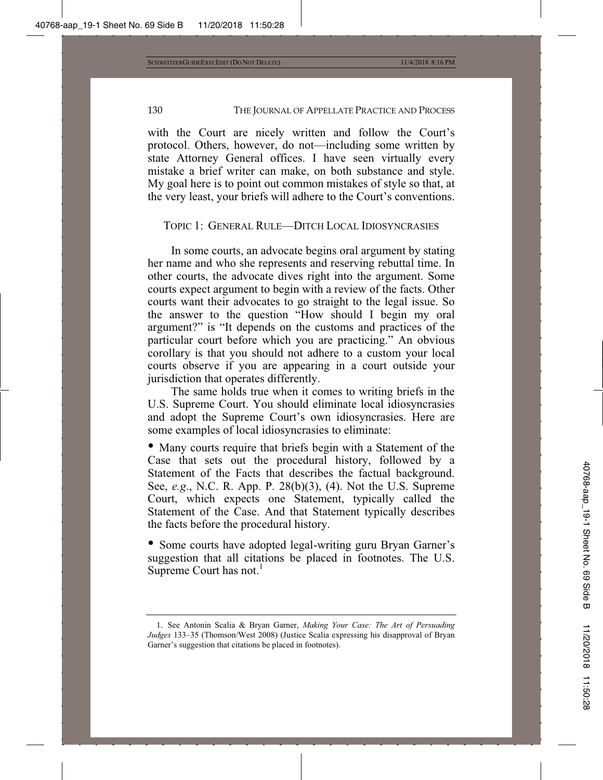with the Court are nicely written and follow the Court's protocol. Others, however, do not—including some written by state Attorney General offices. I have seen virtually every mistake a brief writer can make, on both substance and style. My goal here is to point out common mistakes of style so that, at the very least, your briefs will adhere to the Court's conventions.

## TOPIC 1: GENERAL RULE—DITCH LOCAL IDIOSYNCRASIES

In some courts, an advocate begins oral argument by stating her name and who she represents and reserving rebuttal time. In other courts, the advocate dives right into the argument. Some courts expect argument to begin with a review of the facts. Other courts want their advocates to go straight to the legal issue. So the answer to the question "How should I begin my oral argument?" is "It depends on the customs and practices of the particular court before which you are practicing." An obvious corollary is that you should not adhere to a custom your local courts observe if you are appearing in a court outside your jurisdiction that operates differently.

The same holds true when it comes to writing briefs in the U.S. Supreme Court. You should eliminate local idiosyncrasies and adopt the Supreme Court's own idiosyncrasies. Here are some examples of local idiosyncrasies to eliminate:

• Many courts require that briefs begin with a Statement of the Case that sets out the procedural history, followed by a Statement of the Facts that describes the factual background. See, *e.g*., N.C. R. App. P. 28(b)(3), (4). Not the U.S. Supreme Court, which expects one Statement, typically called the Statement of the Case. And that Statement typically describes the facts before the procedural history.

• Some courts have adopted legal-writing guru Bryan Garner's suggestion that all citations be placed in footnotes. The U.S. Supreme Court has not. $<sup>1</sup>$ </sup>

<sup>1.</sup> See Antonin Scalia & Bryan Garner, *Making Your Case: The Art of Persuading Judges* 133–35 (Thomson/West 2008) (Justice Scalia expressing his disapproval of Bryan Garner's suggestion that citations be placed in footnotes).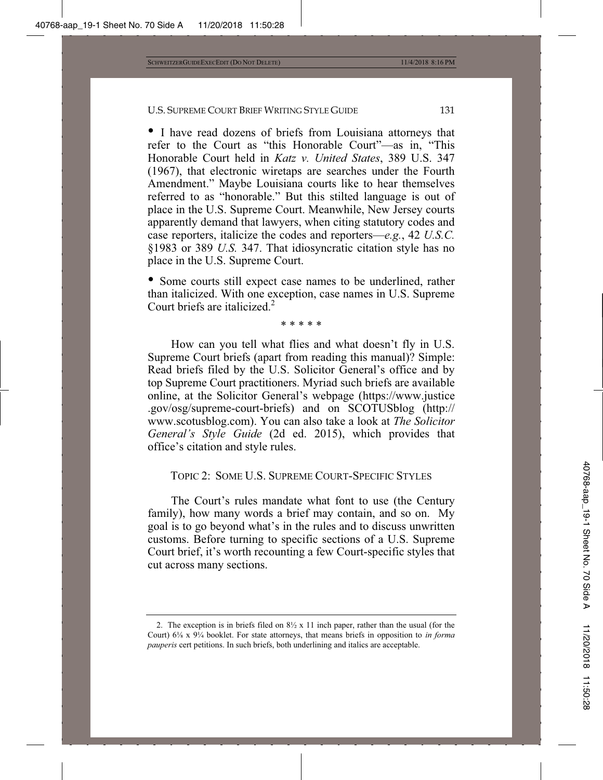• I have read dozens of briefs from Louisiana attorneys that refer to the Court as "this Honorable Court"—as in, "This Honorable Court held in *Katz v. United States*, 389 U.S. 347 (1967), that electronic wiretaps are searches under the Fourth Amendment." Maybe Louisiana courts like to hear themselves referred to as "honorable." But this stilted language is out of place in the U.S. Supreme Court. Meanwhile, New Jersey courts apparently demand that lawyers, when citing statutory codes and case reporters, italicize the codes and reporters—*e.g.*, 42 *U.S.C.* §1983 or 389 *U.S.* 347. That idiosyncratic citation style has no place in the U.S. Supreme Court.

• Some courts still expect case names to be underlined, rather than italicized. With one exception, case names in U.S. Supreme Court briefs are italicized.<sup>2</sup>

\* \* \* \* \*

How can you tell what flies and what doesn't fly in U.S. Supreme Court briefs (apart from reading this manual)? Simple: Read briefs filed by the U.S. Solicitor General's office and by top Supreme Court practitioners. Myriad such briefs are available online, at the Solicitor General's webpage (https://www.justice .gov/osg/supreme-court-briefs) and on SCOTUSblog (http:// www.scotusblog.com). You can also take a look at *The Solicitor General's Style Guide* (2d ed. 2015), which provides that office's citation and style rules.

TOPIC 2: SOME U.S. SUPREME COURT-SPECIFIC STYLES

The Court's rules mandate what font to use (the Century family), how many words a brief may contain, and so on. My goal is to go beyond what's in the rules and to discuss unwritten customs. Before turning to specific sections of a U.S. Supreme Court brief, it's worth recounting a few Court-specific styles that cut across many sections.

<sup>2.</sup> The exception is in briefs filed on  $8\frac{1}{2}$  x 11 inch paper, rather than the usual (for the Court) 6ǩ x 9¼ booklet. For state attorneys, that means briefs in opposition to *in forma pauperis* cert petitions. In such briefs, both underlining and italics are acceptable.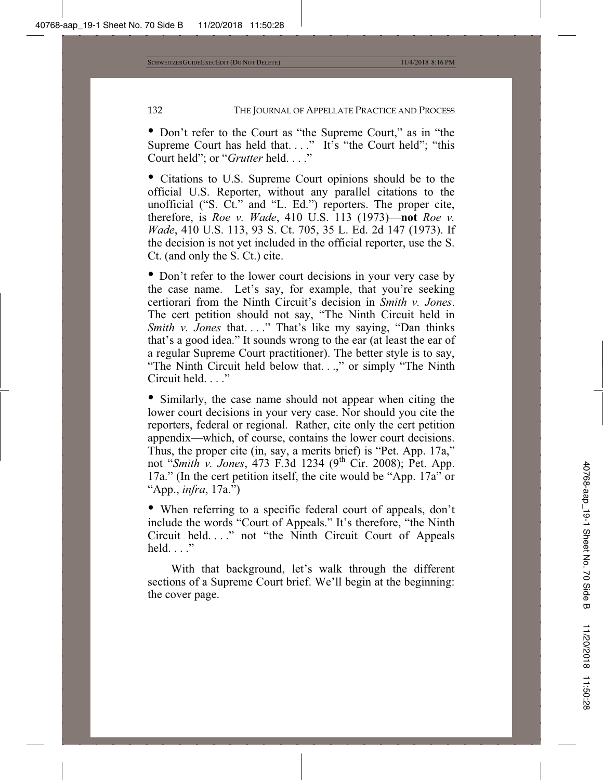• Don't refer to the Court as "the Supreme Court," as in "the Supreme Court has held that...." It's "the Court held"; "this Court held"; or "*Grutter* held. . . ."

• Citations to U.S. Supreme Court opinions should be to the official U.S. Reporter, without any parallel citations to the unofficial ("S. Ct." and "L. Ed.") reporters. The proper cite, therefore, is *Roe v. Wade*, 410 U.S. 113 (1973)—**not** *Roe v. Wade*, 410 U.S. 113, 93 S. Ct. 705, 35 L. Ed. 2d 147 (1973). If the decision is not yet included in the official reporter, use the S. Ct. (and only the S. Ct.) cite.

• Don't refer to the lower court decisions in your very case by the case name. Let's say, for example, that you're seeking certiorari from the Ninth Circuit's decision in *Smith v. Jones*. The cert petition should not say, "The Ninth Circuit held in *Smith v. Jones* that...." That's like my saying, "Dan thinks that's a good idea." It sounds wrong to the ear (at least the ear of a regular Supreme Court practitioner). The better style is to say, "The Ninth Circuit held below that. . .," or simply "The Ninth Circuit held. . . ."

• Similarly, the case name should not appear when citing the lower court decisions in your very case. Nor should you cite the reporters, federal or regional. Rather, cite only the cert petition appendix—which, of course, contains the lower court decisions. Thus, the proper cite (in, say, a merits brief) is "Pet. App. 17a," not "*Smith v. Jones*, 473 F.3d 1234 (9<sup>th</sup> Cir. 2008); Pet. App. 17a." (In the cert petition itself, the cite would be "App. 17a" or "App., *infra*, 17a.")

• When referring to a specific federal court of appeals, don't include the words "Court of Appeals." It's therefore, "the Ninth Circuit held. . . ." not "the Ninth Circuit Court of Appeals held.  $\ldots$ "

With that background, let's walk through the different sections of a Supreme Court brief. We'll begin at the beginning: the cover page.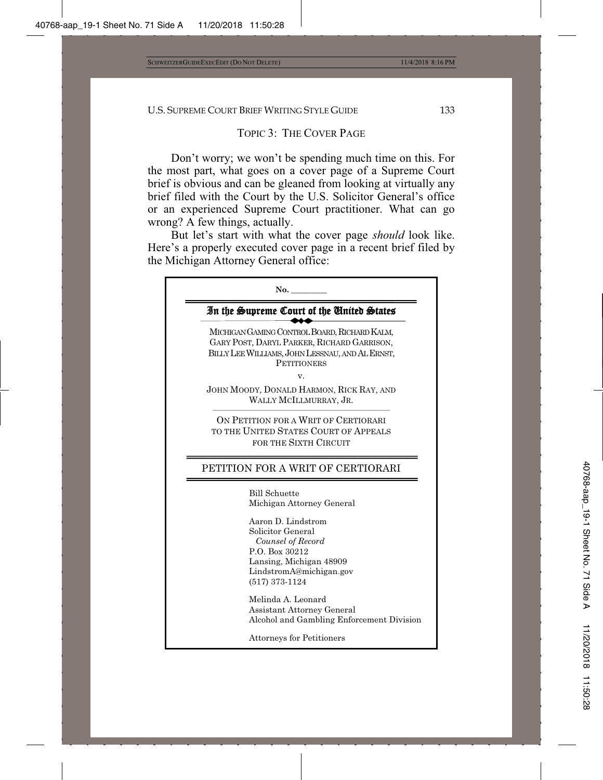### TOPIC 3: THE COVER PAGE

Don't worry; we won't be spending much time on this. For the most part, what goes on a cover page of a Supreme Court brief is obvious and can be gleaned from looking at virtually any brief filed with the Court by the U.S. Solicitor General's office or an experienced Supreme Court practitioner. What can go wrong? A few things, actually.

But let's start with what the cover page *should* look like. Here's a properly executed cover page in a recent brief filed by the Michigan Attorney General office:

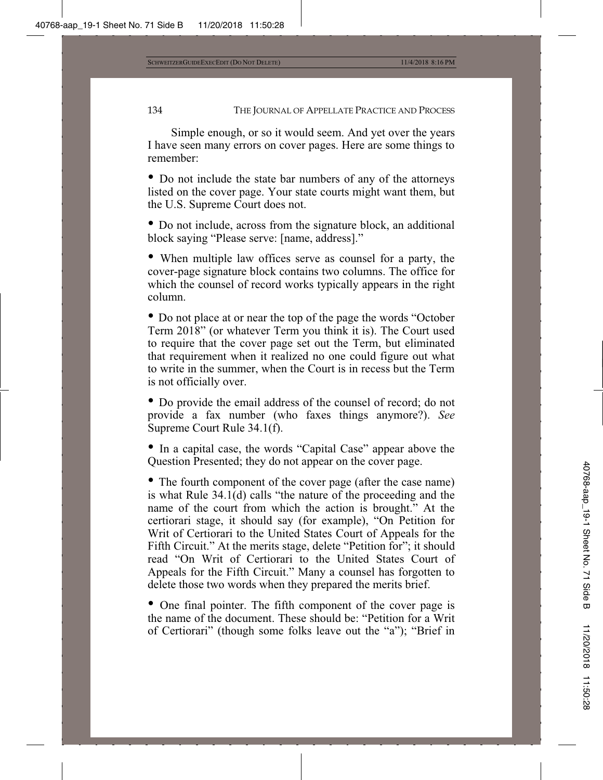Simple enough, or so it would seem. And yet over the years I have seen many errors on cover pages. Here are some things to remember:

• Do not include the state bar numbers of any of the attorneys listed on the cover page. Your state courts might want them, but the U.S. Supreme Court does not.

• Do not include, across from the signature block, an additional block saying "Please serve: [name, address]."

• When multiple law offices serve as counsel for a party, the cover-page signature block contains two columns. The office for which the counsel of record works typically appears in the right column.

• Do not place at or near the top of the page the words "October Term 2018" (or whatever Term you think it is). The Court used to require that the cover page set out the Term, but eliminated that requirement when it realized no one could figure out what to write in the summer, when the Court is in recess but the Term is not officially over.

• Do provide the email address of the counsel of record; do not provide a fax number (who faxes things anymore?). *See* Supreme Court Rule 34.1(f).

• In a capital case, the words "Capital Case" appear above the Question Presented; they do not appear on the cover page.

• The fourth component of the cover page (after the case name) is what Rule 34.1(d) calls "the nature of the proceeding and the name of the court from which the action is brought." At the certiorari stage, it should say (for example), "On Petition for Writ of Certiorari to the United States Court of Appeals for the Fifth Circuit." At the merits stage, delete "Petition for"; it should read "On Writ of Certiorari to the United States Court of Appeals for the Fifth Circuit." Many a counsel has forgotten to delete those two words when they prepared the merits brief.

• One final pointer. The fifth component of the cover page is the name of the document. These should be: "Petition for a Writ of Certiorari" (though some folks leave out the "a"); "Brief in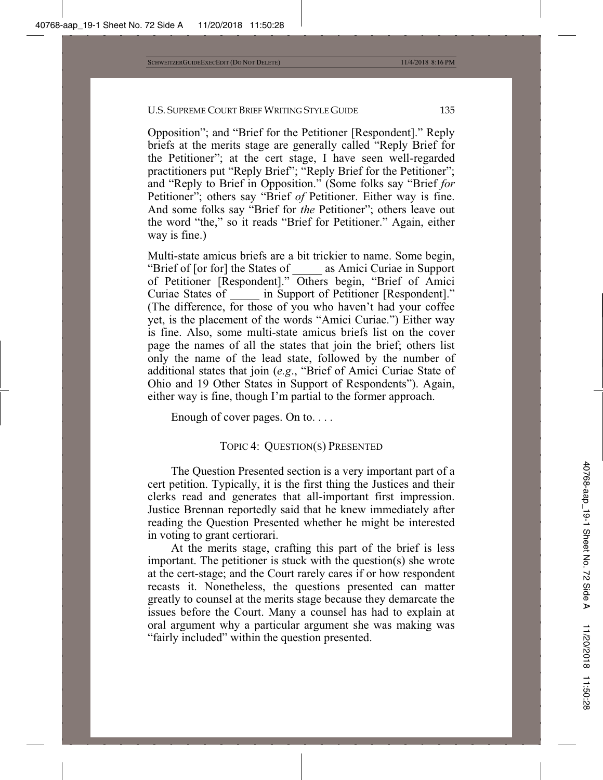Opposition"; and "Brief for the Petitioner [Respondent]." Reply briefs at the merits stage are generally called "Reply Brief for the Petitioner"; at the cert stage, I have seen well-regarded practitioners put "Reply Brief"; "Reply Brief for the Petitioner"; and "Reply to Brief in Opposition." (Some folks say "Brief *for* Petitioner"; others say "Brief *of* Petitioner. Either way is fine. And some folks say "Brief for *the* Petitioner"; others leave out the word "the," so it reads "Brief for Petitioner." Again, either way is fine.)

Multi-state amicus briefs are a bit trickier to name. Some begin, "Brief of [or for] the States of \_\_\_\_\_ as Amici Curiae in Support of Petitioner [Respondent]." Others begin, "Brief of Amici Curiae States of \_\_\_\_\_ in Support of Petitioner [Respondent]." (The difference, for those of you who haven't had your coffee yet, is the placement of the words "Amici Curiae.") Either way is fine. Also, some multi-state amicus briefs list on the cover page the names of all the states that join the brief; others list only the name of the lead state, followed by the number of additional states that join (*e.g*., "Brief of Amici Curiae State of Ohio and 19 Other States in Support of Respondents"). Again, either way is fine, though I'm partial to the former approach.

Enough of cover pages. On to. . . .

## TOPIC 4: QUESTION(S) PRESENTED

The Question Presented section is a very important part of a cert petition. Typically, it is the first thing the Justices and their clerks read and generates that all-important first impression. Justice Brennan reportedly said that he knew immediately after reading the Question Presented whether he might be interested in voting to grant certiorari.

At the merits stage, crafting this part of the brief is less important. The petitioner is stuck with the question(s) she wrote at the cert-stage; and the Court rarely cares if or how respondent recasts it. Nonetheless, the questions presented can matter greatly to counsel at the merits stage because they demarcate the issues before the Court. Many a counsel has had to explain at oral argument why a particular argument she was making was "fairly included" within the question presented.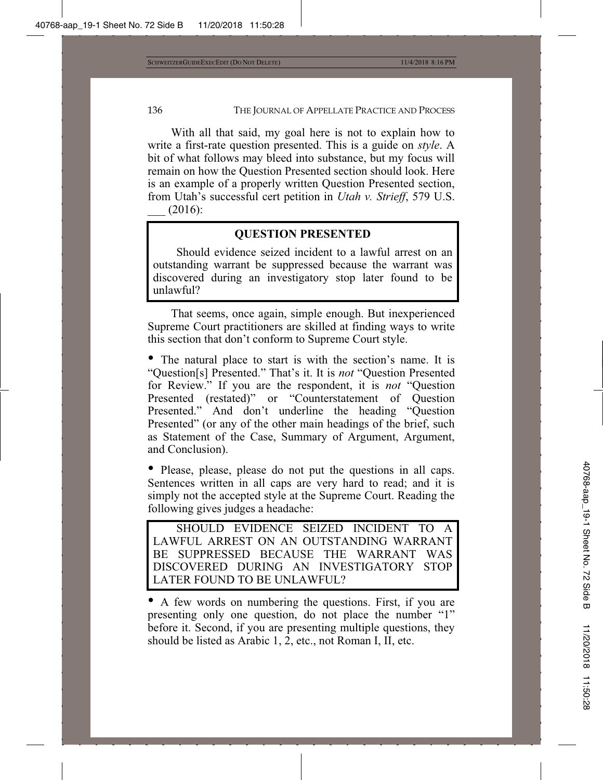With all that said, my goal here is not to explain how to write a first-rate question presented. This is a guide on *style*. A bit of what follows may bleed into substance, but my focus will remain on how the Question Presented section should look. Here is an example of a properly written Question Presented section, from Utah's successful cert petition in *Utah v. Strieff*, 579 U.S.  $(2016):$ 

## **QUESTION PRESENTED**

Should evidence seized incident to a lawful arrest on an outstanding warrant be suppressed because the warrant was discovered during an investigatory stop later found to be unlawful?

That seems, once again, simple enough. But inexperienced Supreme Court practitioners are skilled at finding ways to write this section that don't conform to Supreme Court style.

• The natural place to start is with the section's name. It is "Question[s] Presented." That's it. It is *not* "Question Presented for Review." If you are the respondent, it is *not* "Question Presented (restated)" or "Counterstatement of Question Presented." And don't underline the heading "Question Presented" (or any of the other main headings of the brief, such as Statement of the Case, Summary of Argument, Argument, and Conclusion).

• Please, please, please do not put the questions in all caps. Sentences written in all caps are very hard to read; and it is simply not the accepted style at the Supreme Court. Reading the following gives judges a headache:

SHOULD EVIDENCE SEIZED INCIDENT TO A LAWFUL ARREST ON AN OUTSTANDING WARRANT BE SUPPRESSED BECAUSE THE WARRANT WAS DISCOVERED DURING AN INVESTIGATORY STOP LATER FOUND TO BE UNLAWFUL?

• A few words on numbering the questions. First, if you are presenting only one question, do not place the number "1" before it. Second, if you are presenting multiple questions, they should be listed as Arabic 1, 2, etc., not Roman I, II, etc.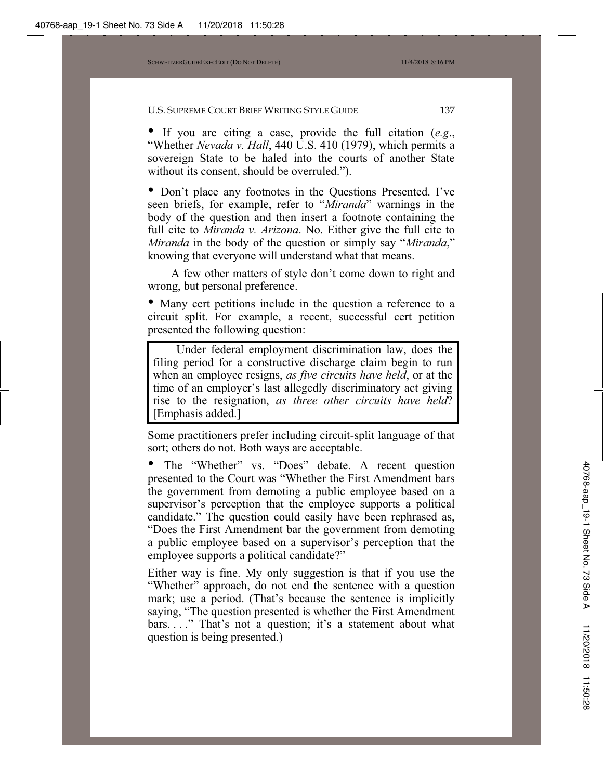• If you are citing a case, provide the full citation (*e.g*., "Whether *Nevada v. Hall*, 440 U.S. 410 (1979), which permits a sovereign State to be haled into the courts of another State without its consent, should be overruled.").

• Don't place any footnotes in the Questions Presented. I've seen briefs, for example, refer to "*Miranda*" warnings in the body of the question and then insert a footnote containing the full cite to *Miranda v. Arizona*. No. Either give the full cite to *Miranda* in the body of the question or simply say "*Miranda*," knowing that everyone will understand what that means.

A few other matters of style don't come down to right and wrong, but personal preference.

• Many cert petitions include in the question a reference to a circuit split. For example, a recent, successful cert petition presented the following question:

Under federal employment discrimination law, does the filing period for a constructive discharge claim begin to run when an employee resigns, *as five circuits have held*, or at the time of an employer's last allegedly discriminatory act giving rise to the resignation, *as three other circuits have held*? [Emphasis added.]

Some practitioners prefer including circuit-split language of that sort; others do not. Both ways are acceptable.

The "Whether" vs. "Does" debate. A recent question presented to the Court was "Whether the First Amendment bars the government from demoting a public employee based on a supervisor's perception that the employee supports a political candidate." The question could easily have been rephrased as, "Does the First Amendment bar the government from demoting a public employee based on a supervisor's perception that the employee supports a political candidate?"

Either way is fine. My only suggestion is that if you use the "Whether" approach, do not end the sentence with a question mark; use a period. (That's because the sentence is implicitly saying, "The question presented is whether the First Amendment bars. . . ." That's not a question; it's a statement about what question is being presented.)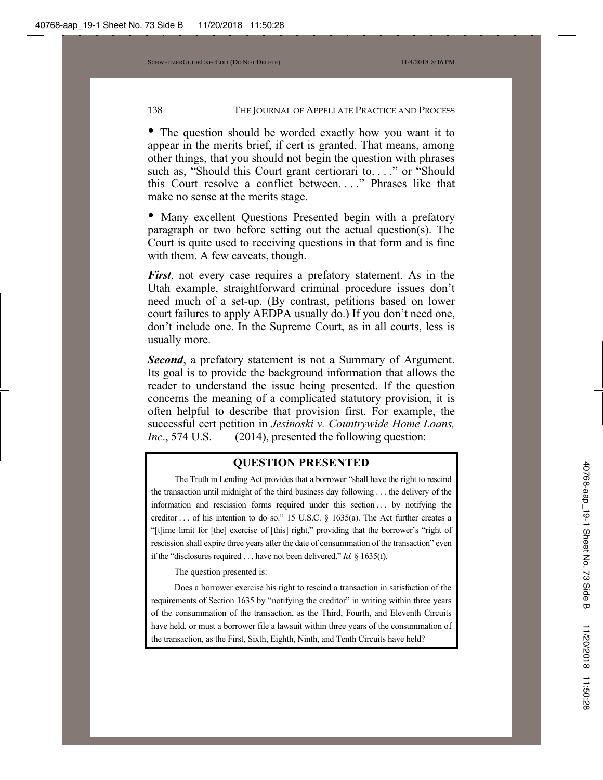• The question should be worded exactly how you want it to appear in the merits brief, if cert is granted. That means, among other things, that you should not begin the question with phrases such as, "Should this Court grant certiorari to...." or "Should" this Court resolve a conflict between. . . ." Phrases like that make no sense at the merits stage.

• Many excellent Questions Presented begin with a prefatory paragraph or two before setting out the actual question(s). The Court is quite used to receiving questions in that form and is fine with them. A few caveats, though.

*First*, not every case requires a prefatory statement. As in the Utah example, straightforward criminal procedure issues don't need much of a set-up. (By contrast, petitions based on lower court failures to apply AEDPA usually do.) If you don't need one, don't include one. In the Supreme Court, as in all courts, less is usually more.

*Second*, a prefatory statement is not a Summary of Argument. Its goal is to provide the background information that allows the reader to understand the issue being presented. If the question concerns the meaning of a complicated statutory provision, it is often helpful to describe that provision first. For example, the successful cert petition in *Jesinoski v. Countrywide Home Loans, Inc.*, 574 U.S. (2014), presented the following question:

## **QUESTION PRESENTED**

The Truth in Lending Act provides that a borrower "shall have the right to rescind the transaction until midnight of the third business day following . . . the delivery of the information and rescission forms required under this section . . . by notifying the creditor . . . of his intention to do so." 15 U.S.C. § 1635(a). The Act further creates a "[t]ime limit for [the] exercise of [this] right," providing that the borrower's "right of rescission shall expire three years after the date of consummation of the transaction" even if the "disclosures required . . . have not been delivered." *Id.* § 1635(f).

The question presented is:

Does a borrower exercise his right to rescind a transaction in satisfaction of the requirements of Section 1635 by "notifying the creditor" in writing within three years of the consummation of the transaction, as the Third, Fourth, and Eleventh Circuits have held, or must a borrower file a lawsuit within three years of the consummation of the transaction, as the First, Sixth, Eighth, Ninth, and Tenth Circuits have held?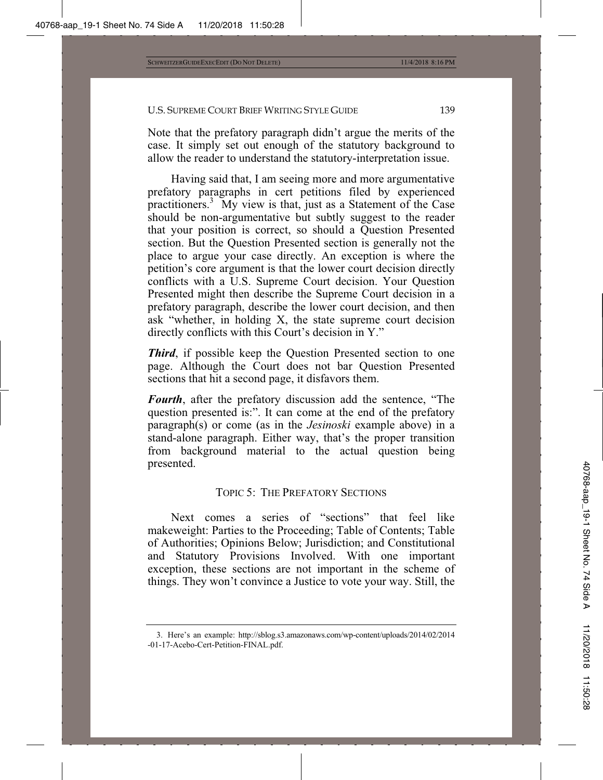Note that the prefatory paragraph didn't argue the merits of the case. It simply set out enough of the statutory background to allow the reader to understand the statutory-interpretation issue.

Having said that, I am seeing more and more argumentative prefatory paragraphs in cert petitions filed by experienced practitioners.<sup>3</sup> My view is that, just as a Statement of the Case should be non-argumentative but subtly suggest to the reader that your position is correct, so should a Question Presented section. But the Question Presented section is generally not the place to argue your case directly. An exception is where the petition's core argument is that the lower court decision directly conflicts with a U.S. Supreme Court decision. Your Question Presented might then describe the Supreme Court decision in a prefatory paragraph, describe the lower court decision, and then ask "whether, in holding X, the state supreme court decision directly conflicts with this Court's decision in Y."

*Third*, if possible keep the Question Presented section to one page. Although the Court does not bar Question Presented sections that hit a second page, it disfavors them.

*Fourth*, after the prefatory discussion add the sentence, "The question presented is:". It can come at the end of the prefatory paragraph(s) or come (as in the *Jesinoski* example above) in a stand-alone paragraph. Either way, that's the proper transition from background material to the actual question being presented.

### TOPIC 5: THE PREFATORY SECTIONS

Next comes a series of "sections" that feel like makeweight: Parties to the Proceeding; Table of Contents; Table of Authorities; Opinions Below; Jurisdiction; and Constitutional and Statutory Provisions Involved. With one important exception, these sections are not important in the scheme of things. They won't convince a Justice to vote your way. Still, the

<sup>3.</sup> Here's an example: http://sblog.s3.amazonaws.com/wp-content/uploads/2014/02/2014 -01-17-Acebo-Cert-Petition-FINAL.pdf.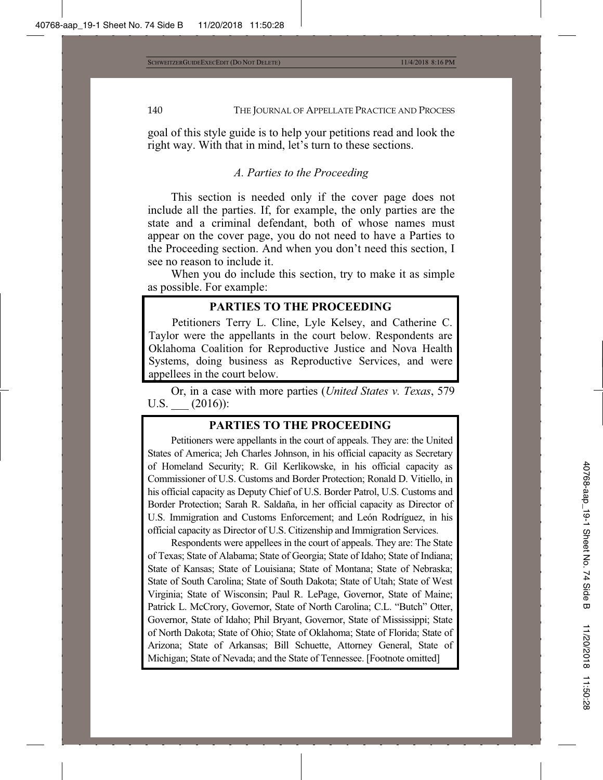goal of this style guide is to help your petitions read and look the right way. With that in mind, let's turn to these sections.

### *A. Parties to the Proceeding*

This section is needed only if the cover page does not include all the parties. If, for example, the only parties are the state and a criminal defendant, both of whose names must appear on the cover page, you do not need to have a Parties to the Proceeding section. And when you don't need this section, I see no reason to include it.

When you do include this section, try to make it as simple as possible. For example:

## **PARTIES TO THE PROCEEDING**

Petitioners Terry L. Cline, Lyle Kelsey, and Catherine C. Taylor were the appellants in the court below. Respondents are Oklahoma Coalition for Reproductive Justice and Nova Health Systems, doing business as Reproductive Services, and were appellees in the court below.

Or, in a case with more parties (*United States v. Texas*, 579 U.S.  $(2016)$ :

## **PARTIES TO THE PROCEEDING**

Petitioners were appellants in the court of appeals. They are: the United States of America; Jeh Charles Johnson, in his official capacity as Secretary of Homeland Security; R. Gil Kerlikowske, in his official capacity as Commissioner of U.S. Customs and Border Protection; Ronald D. Vitiello, in his official capacity as Deputy Chief of U.S. Border Patrol, U.S. Customs and Border Protection; Sarah R. Saldaña, in her official capacity as Director of U.S. Immigration and Customs Enforcement; and León Rodríguez, in his official capacity as Director of U.S. Citizenship and Immigration Services.

Respondents were appellees in the court of appeals. They are: The State of Texas; State of Alabama; State of Georgia; State of Idaho; State of Indiana; State of Kansas; State of Louisiana; State of Montana; State of Nebraska; State of South Carolina; State of South Dakota; State of Utah; State of West Virginia; State of Wisconsin; Paul R. LePage, Governor, State of Maine; Patrick L. McCrory, Governor, State of North Carolina; C.L. "Butch" Otter, Governor, State of Idaho; Phil Bryant, Governor, State of Mississippi; State of North Dakota; State of Ohio; State of Oklahoma; State of Florida; State of Arizona; State of Arkansas; Bill Schuette, Attorney General, State of Michigan; State of Nevada; and the State of Tennessee. [Footnote omitted]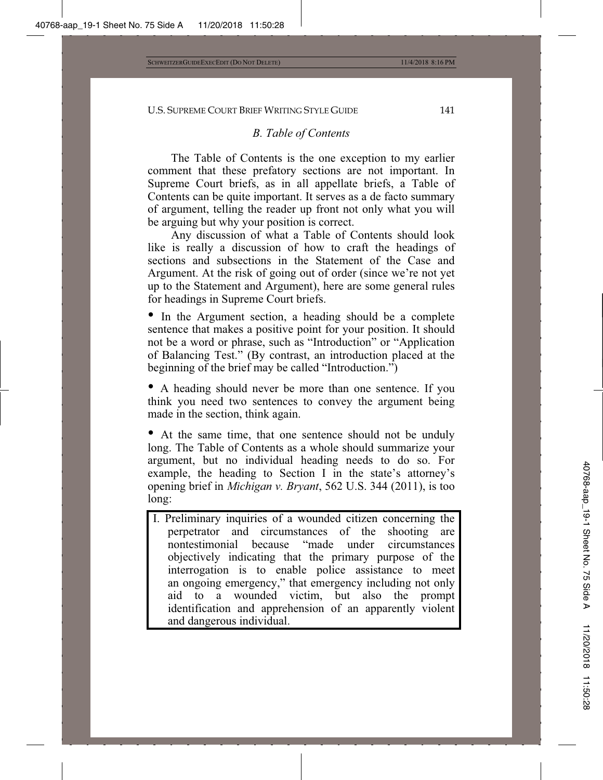## *B. Table of Contents*

The Table of Contents is the one exception to my earlier comment that these prefatory sections are not important. In Supreme Court briefs, as in all appellate briefs, a Table of Contents can be quite important. It serves as a de facto summary of argument, telling the reader up front not only what you will be arguing but why your position is correct.

Any discussion of what a Table of Contents should look like is really a discussion of how to craft the headings of sections and subsections in the Statement of the Case and Argument. At the risk of going out of order (since we're not yet up to the Statement and Argument), here are some general rules for headings in Supreme Court briefs.

• In the Argument section, a heading should be a complete sentence that makes a positive point for your position. It should not be a word or phrase, such as "Introduction" or "Application of Balancing Test." (By contrast, an introduction placed at the beginning of the brief may be called "Introduction.")

• A heading should never be more than one sentence. If you think you need two sentences to convey the argument being made in the section, think again.

• At the same time, that one sentence should not be unduly long. The Table of Contents as a whole should summarize your argument, but no individual heading needs to do so. For example, the heading to Section I in the state's attorney's opening brief in *Michigan v. Bryant*, 562 U.S. 344 (2011), is too long:

I. Preliminary inquiries of a wounded citizen concerning the perpetrator and circumstances of the shooting are nontestimonial because "made under circumstances objectively indicating that the primary purpose of the interrogation is to enable police assistance to meet an ongoing emergency," that emergency including not only aid to a wounded victim, but also the prompt identification and apprehension of an apparently violent and dangerous individual.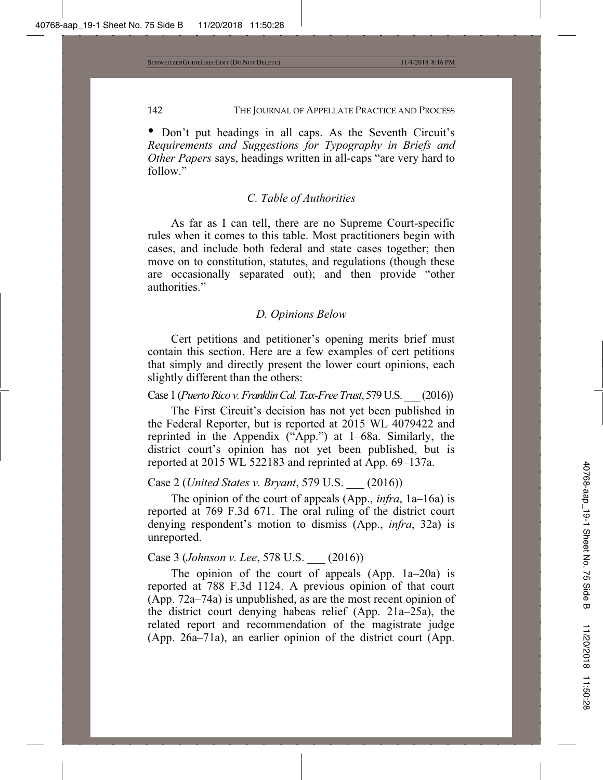• Don't put headings in all caps. As the Seventh Circuit's *Requirements and Suggestions for Typography in Briefs and Other Papers* says, headings written in all-caps "are very hard to follow."

#### *C. Table of Authorities*

As far as I can tell, there are no Supreme Court-specific rules when it comes to this table. Most practitioners begin with cases, and include both federal and state cases together; then move on to constitution, statutes, and regulations (though these are occasionally separated out); and then provide "other authorities."

#### *D. Opinions Below*

Cert petitions and petitioner's opening merits brief must contain this section. Here are a few examples of cert petitions that simply and directly present the lower court opinions, each slightly different than the others:

Case 1 (*Puerto Rico v. Franklin Cal. Tax-Free Trust*, 579 U.S. \_\_\_ (2016))

The First Circuit's decision has not yet been published in the Federal Reporter, but is reported at 2015 WL 4079422 and reprinted in the Appendix ("App.") at 1–68a. Similarly, the district court's opinion has not yet been published, but is reported at 2015 WL 522183 and reprinted at App. 69–137a.

Case 2 (*United States v. Bryant*, 579 U.S. \_\_\_ (2016))

The opinion of the court of appeals (App., *infra*, 1a–16a) is reported at 769 F.3d 671. The oral ruling of the district court denying respondent's motion to dismiss (App., *infra*, 32a) is unreported.

## Case 3 (*Johnson v. Lee*, 578 U.S. \_\_\_ (2016))

The opinion of the court of appeals (App. 1a–20a) is reported at 788 F.3d 1124. A previous opinion of that court (App. 72a–74a) is unpublished, as are the most recent opinion of the district court denying habeas relief (App. 21a–25a), the related report and recommendation of the magistrate judge (App. 26a–71a), an earlier opinion of the district court (App.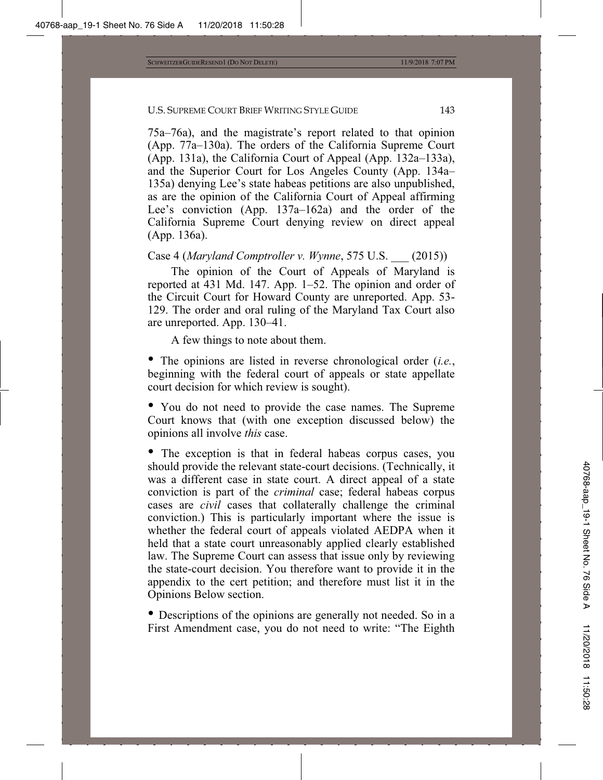75a–76a), and the magistrate's report related to that opinion (App. 77a–130a). The orders of the California Supreme Court (App. 131a), the California Court of Appeal (App. 132a–133a), and the Superior Court for Los Angeles County (App. 134a– 135a) denying Lee's state habeas petitions are also unpublished, as are the opinion of the California Court of Appeal affirming Lee's conviction (App. 137a–162a) and the order of the California Supreme Court denying review on direct appeal (App. 136a).

Case 4 (*Maryland Comptroller v. Wynne*, 575 U.S. \_\_\_ (2015))

The opinion of the Court of Appeals of Maryland is reported at 431 Md. 147. App. 1–52. The opinion and order of the Circuit Court for Howard County are unreported. App. 53- 129. The order and oral ruling of the Maryland Tax Court also are unreported. App. 130–41.

A few things to note about them.

• The opinions are listed in reverse chronological order (*i.e.*, beginning with the federal court of appeals or state appellate court decision for which review is sought).

• You do not need to provide the case names. The Supreme Court knows that (with one exception discussed below) the opinions all involve *this* case.

• The exception is that in federal habeas corpus cases, you should provide the relevant state-court decisions. (Technically, it was a different case in state court. A direct appeal of a state conviction is part of the *criminal* case; federal habeas corpus cases are *civil* cases that collaterally challenge the criminal conviction.) This is particularly important where the issue is whether the federal court of appeals violated AEDPA when it held that a state court unreasonably applied clearly established law. The Supreme Court can assess that issue only by reviewing the state-court decision. You therefore want to provide it in the appendix to the cert petition; and therefore must list it in the Opinions Below section.

• Descriptions of the opinions are generally not needed. So in a First Amendment case, you do not need to write: "The Eighth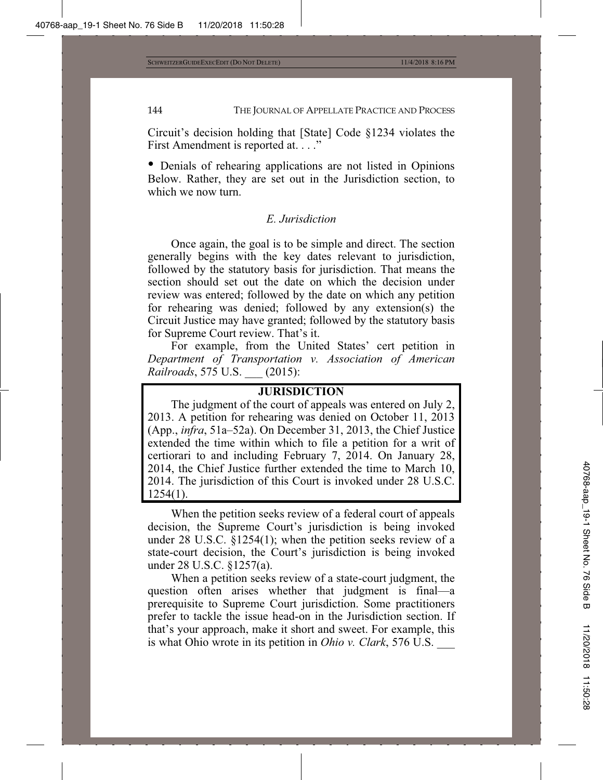Circuit's decision holding that [State] Code §1234 violates the First Amendment is reported at. . . ."

• Denials of rehearing applications are not listed in Opinions Below. Rather, they are set out in the Jurisdiction section, to which we now turn.

### *E. Jurisdiction*

Once again, the goal is to be simple and direct. The section generally begins with the key dates relevant to jurisdiction, followed by the statutory basis for jurisdiction. That means the section should set out the date on which the decision under review was entered; followed by the date on which any petition for rehearing was denied; followed by any extension(s) the Circuit Justice may have granted; followed by the statutory basis for Supreme Court review. That's it.

For example, from the United States' cert petition in *Department of Transportation v. Association of American Railroads*, 575 U.S. \_\_\_ (2015):

## **JURISDICTION**

The judgment of the court of appeals was entered on July 2, 2013. A petition for rehearing was denied on October 11, 2013 (App., *infra*, 51a–52a). On December 31, 2013, the Chief Justice extended the time within which to file a petition for a writ of certiorari to and including February 7, 2014. On January 28, 2014, the Chief Justice further extended the time to March 10, 2014. The jurisdiction of this Court is invoked under 28 U.S.C. 1254(1).

When the petition seeks review of a federal court of appeals decision, the Supreme Court's jurisdiction is being invoked under 28 U.S.C. §1254(1); when the petition seeks review of a state-court decision, the Court's jurisdiction is being invoked under 28 U.S.C. §1257(a).

When a petition seeks review of a state-court judgment, the question often arises whether that judgment is final—a prerequisite to Supreme Court jurisdiction. Some practitioners prefer to tackle the issue head-on in the Jurisdiction section. If that's your approach, make it short and sweet. For example, this is what Ohio wrote in its petition in *Ohio v. Clark*, 576 U.S.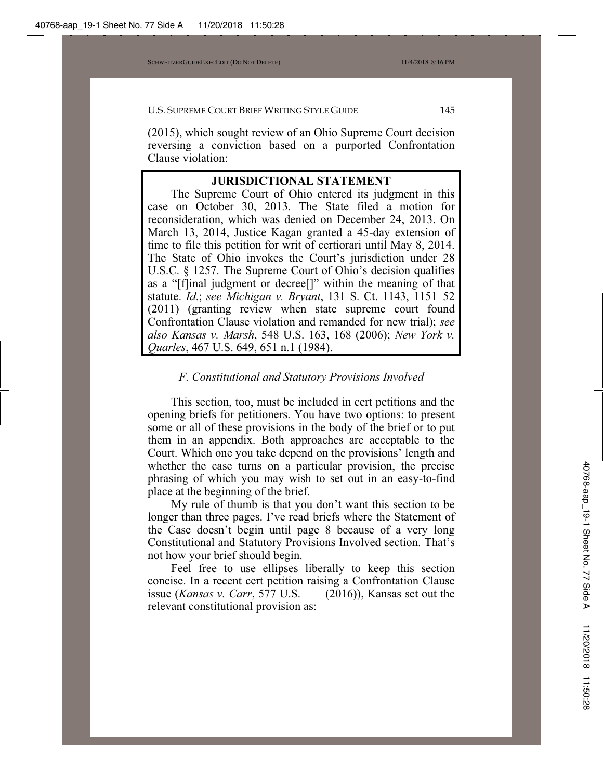(2015), which sought review of an Ohio Supreme Court decision reversing a conviction based on a purported Confrontation Clause violation:

## **JURISDICTIONAL STATEMENT**

The Supreme Court of Ohio entered its judgment in this case on October 30, 2013. The State filed a motion for reconsideration, which was denied on December 24, 2013. On March 13, 2014, Justice Kagan granted a 45-day extension of time to file this petition for writ of certiorari until May 8, 2014. The State of Ohio invokes the Court's jurisdiction under 28 U.S.C. § 1257. The Supreme Court of Ohio's decision qualifies as a "[f]inal judgment or decree[]" within the meaning of that statute. *Id*.; *see Michigan v. Bryant*, 131 S. Ct. 1143, 1151–52 (2011) (granting review when state supreme court found Confrontation Clause violation and remanded for new trial); *see also Kansas v. Marsh*, 548 U.S. 163, 168 (2006); *New York v. Quarles*, 467 U.S. 649, 651 n.1 (1984).

# *F. Constitutional and Statutory Provisions Involved*

This section, too, must be included in cert petitions and the opening briefs for petitioners. You have two options: to present some or all of these provisions in the body of the brief or to put them in an appendix. Both approaches are acceptable to the Court. Which one you take depend on the provisions' length and whether the case turns on a particular provision, the precise phrasing of which you may wish to set out in an easy-to-find place at the beginning of the brief.

My rule of thumb is that you don't want this section to be longer than three pages. I've read briefs where the Statement of the Case doesn't begin until page 8 because of a very long Constitutional and Statutory Provisions Involved section. That's not how your brief should begin.

Feel free to use ellipses liberally to keep this section concise. In a recent cert petition raising a Confrontation Clause issue (*Kansas v. Carr*, 577 U.S. \_\_\_ (2016)), Kansas set out the relevant constitutional provision as: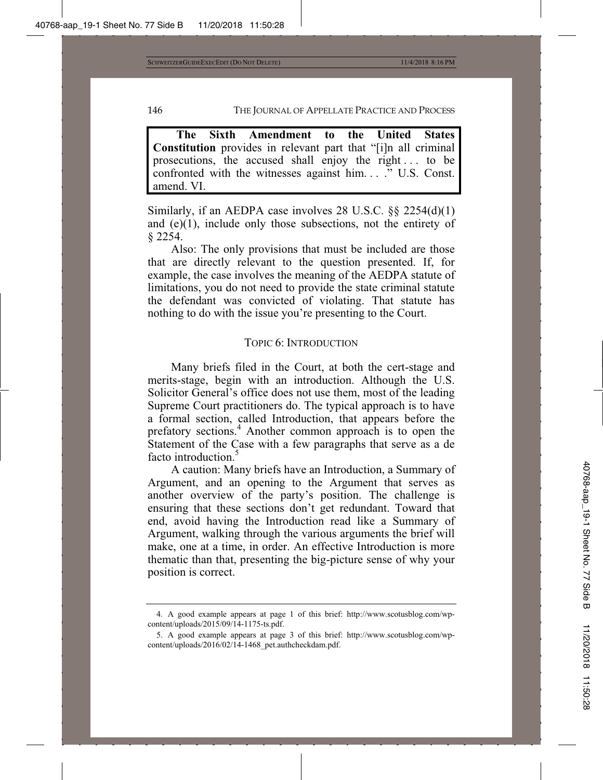**The Sixth Amendment to the United States Constitution** provides in relevant part that "[i]n all criminal prosecutions, the accused shall enjoy the right . . . to be confronted with the witnesses against him. . . ." U.S. Const. amend. VI.

Similarly, if an AEDPA case involves 28 U.S.C. §§ 2254(d)(1) and (e)(1), include only those subsections, not the entirety of § 2254.

Also: The only provisions that must be included are those that are directly relevant to the question presented. If, for example, the case involves the meaning of the AEDPA statute of limitations, you do not need to provide the state criminal statute the defendant was convicted of violating. That statute has nothing to do with the issue you're presenting to the Court.

#### TOPIC 6: INTRODUCTION

Many briefs filed in the Court, at both the cert-stage and merits-stage, begin with an introduction. Although the U.S. Solicitor General's office does not use them, most of the leading Supreme Court practitioners do. The typical approach is to have a formal section, called Introduction, that appears before the prefatory sections.<sup>4</sup> Another common approach is to open the Statement of the Case with a few paragraphs that serve as a de facto introduction.<sup>5</sup>

A caution: Many briefs have an Introduction, a Summary of Argument, and an opening to the Argument that serves as another overview of the party's position. The challenge is ensuring that these sections don't get redundant. Toward that end, avoid having the Introduction read like a Summary of Argument, walking through the various arguments the brief will make, one at a time, in order. An effective Introduction is more thematic than that, presenting the big-picture sense of why your position is correct.

<sup>4.</sup> A good example appears at page 1 of this brief: http://www.scotusblog.com/wpcontent/uploads/2015/09/14-1175-ts.pdf.

<sup>5.</sup> A good example appears at page 3 of this brief: http://www.scotusblog.com/wpcontent/uploads/2016/02/14-1468\_pet.authcheckdam.pdf.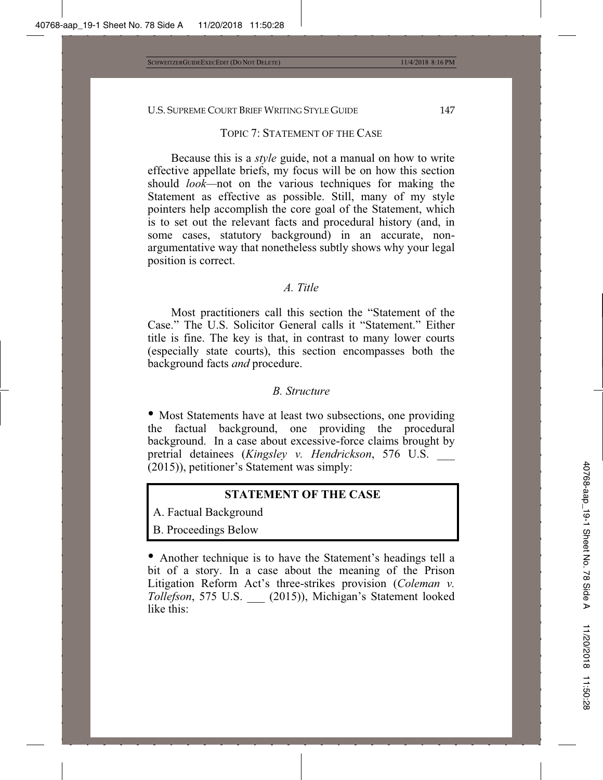#### TOPIC 7: STATEMENT OF THE CASE

Because this is a *style* guide, not a manual on how to write effective appellate briefs, my focus will be on how this section should *look—*not on the various techniques for making the Statement as effective as possible. Still, many of my style pointers help accomplish the core goal of the Statement, which is to set out the relevant facts and procedural history (and, in some cases, statutory background) in an accurate, nonargumentative way that nonetheless subtly shows why your legal position is correct.

#### *A. Title*

Most practitioners call this section the "Statement of the Case." The U.S. Solicitor General calls it "Statement." Either title is fine. The key is that, in contrast to many lower courts (especially state courts), this section encompasses both the background facts *and* procedure.

#### *B. Structure*

• Most Statements have at least two subsections, one providing the factual background, one providing the procedural background. In a case about excessive-force claims brought by pretrial detainees (*Kingsley v. Hendrickson*, 576 U.S. \_\_\_ (2015)), petitioner's Statement was simply:

## **STATEMENT OF THE CASE**

A. Factual Background

B. Proceedings Below

• Another technique is to have the Statement's headings tell a bit of a story. In a case about the meaning of the Prison Litigation Reform Act's three-strikes provision (*Coleman v. Tollefson*, 575 U.S. \_\_\_ (2015)), Michigan's Statement looked like this: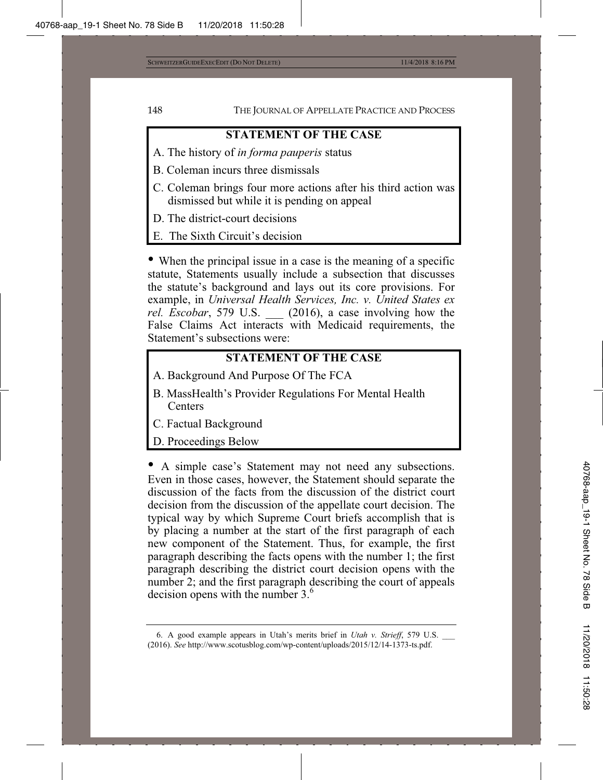# **STATEMENT OF THE CASE**

- A. The history of *in forma pauperis* status
- B. Coleman incurs three dismissals
- C. Coleman brings four more actions after his third action was dismissed but while it is pending on appeal
- D. The district-court decisions
- E. The Sixth Circuit's decision

• When the principal issue in a case is the meaning of a specific statute, Statements usually include a subsection that discusses the statute's background and lays out its core provisions. For example, in *Universal Health Services, Inc. v. United States ex rel. Escobar*, 579 U.S. \_\_\_ (2016), a case involving how the False Claims Act interacts with Medicaid requirements, the Statement's subsections were:

## **STATEMENT OF THE CASE**

- A. Background And Purpose Of The FCA
- B. MassHealth's Provider Regulations For Mental Health Centers
- C. Factual Background
- D. Proceedings Below

• A simple case's Statement may not need any subsections. Even in those cases, however, the Statement should separate the discussion of the facts from the discussion of the district court decision from the discussion of the appellate court decision. The typical way by which Supreme Court briefs accomplish that is by placing a number at the start of the first paragraph of each new component of the Statement. Thus, for example, the first paragraph describing the facts opens with the number 1; the first paragraph describing the district court decision opens with the number 2; and the first paragraph describing the court of appeals decision opens with the number 3.<sup>6</sup>

<sup>6.</sup> A good example appears in Utah's merits brief in *Utah v. Strieff*, 579 U.S. \_\_\_ (2016). *See* http://www.scotusblog.com/wp-content/uploads/2015/12/14-1373-ts.pdf.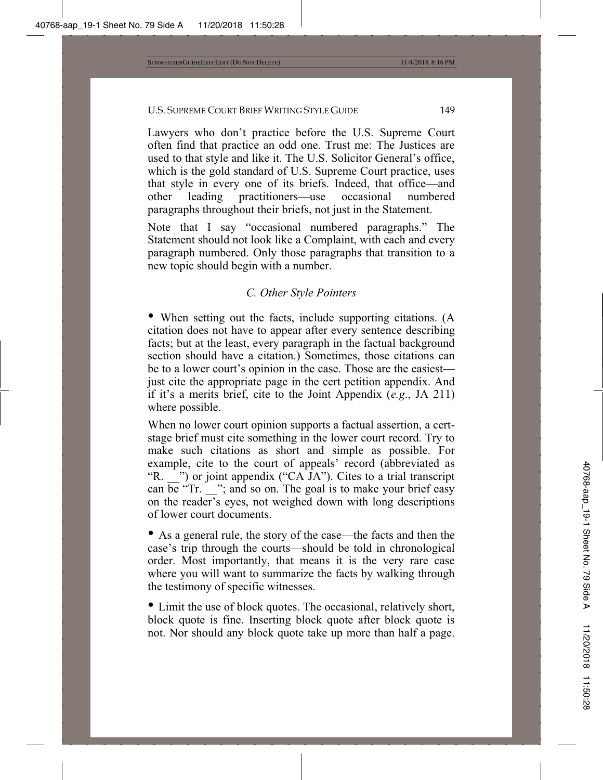Lawyers who don't practice before the U.S. Supreme Court often find that practice an odd one. Trust me: The Justices are used to that style and like it. The U.S. Solicitor General's office, which is the gold standard of U.S. Supreme Court practice, uses that style in every one of its briefs. Indeed, that office—and other leading practitioners—use occasional numbered paragraphs throughout their briefs, not just in the Statement.

Note that I say "occasional numbered paragraphs." The Statement should not look like a Complaint, with each and every paragraph numbered. Only those paragraphs that transition to a new topic should begin with a number.

## *C. Other Style Pointers*

• When setting out the facts, include supporting citations. (A citation does not have to appear after every sentence describing facts; but at the least, every paragraph in the factual background section should have a citation.) Sometimes, those citations can be to a lower court's opinion in the case. Those are the easiest just cite the appropriate page in the cert petition appendix. And if it's a merits brief, cite to the Joint Appendix (*e.g*., JA 211) where possible.

When no lower court opinion supports a factual assertion, a certstage brief must cite something in the lower court record. Try to make such citations as short and simple as possible. For example, cite to the court of appeals' record (abbreviated as "R. ") or joint appendix ("CA JA"). Cites to a trial transcript can be "Tr.  $\dddot{ }$ "; and so on. The goal is to make your brief easy on the reader's eyes, not weighed down with long descriptions of lower court documents.

• As a general rule, the story of the case—the facts and then the case's trip through the courts—should be told in chronological order. Most importantly, that means it is the very rare case where you will want to summarize the facts by walking through the testimony of specific witnesses.

• Limit the use of block quotes. The occasional, relatively short, block quote is fine. Inserting block quote after block quote is not. Nor should any block quote take up more than half a page.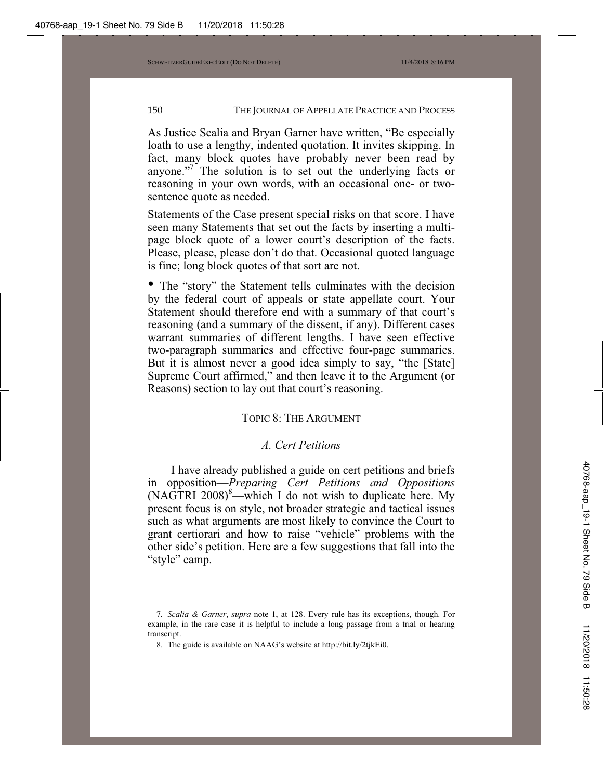As Justice Scalia and Bryan Garner have written, "Be especially loath to use a lengthy, indented quotation. It invites skipping. In fact, many block quotes have probably never been read by anyone."<sup>7</sup> The solution is to set out the underlying facts or reasoning in your own words, with an occasional one- or twosentence quote as needed.

Statements of the Case present special risks on that score. I have seen many Statements that set out the facts by inserting a multipage block quote of a lower court's description of the facts. Please, please, please don't do that. Occasional quoted language is fine; long block quotes of that sort are not.

• The "story" the Statement tells culminates with the decision by the federal court of appeals or state appellate court. Your Statement should therefore end with a summary of that court's reasoning (and a summary of the dissent, if any). Different cases warrant summaries of different lengths. I have seen effective two-paragraph summaries and effective four-page summaries. But it is almost never a good idea simply to say, "the [State] Supreme Court affirmed," and then leave it to the Argument (or Reasons) section to lay out that court's reasoning.

## TOPIC 8: THE ARGUMENT

## *A. Cert Petitions*

I have already published a guide on cert petitions and briefs in opposition—*Preparing Cert Petitions and Oppositions*  $(NAGTRI 2008)^8$ —which I do not wish to duplicate here. My present focus is on style, not broader strategic and tactical issues such as what arguments are most likely to convince the Court to grant certiorari and how to raise "vehicle" problems with the other side's petition. Here are a few suggestions that fall into the "style" camp.

<sup>7</sup>*. Scalia & Garner*, *supra* note 1, at 128. Every rule has its exceptions, though. For example, in the rare case it is helpful to include a long passage from a trial or hearing transcript.

<sup>8.</sup> The guide is available on NAAG's website at http://bit.ly/2tjkEi0.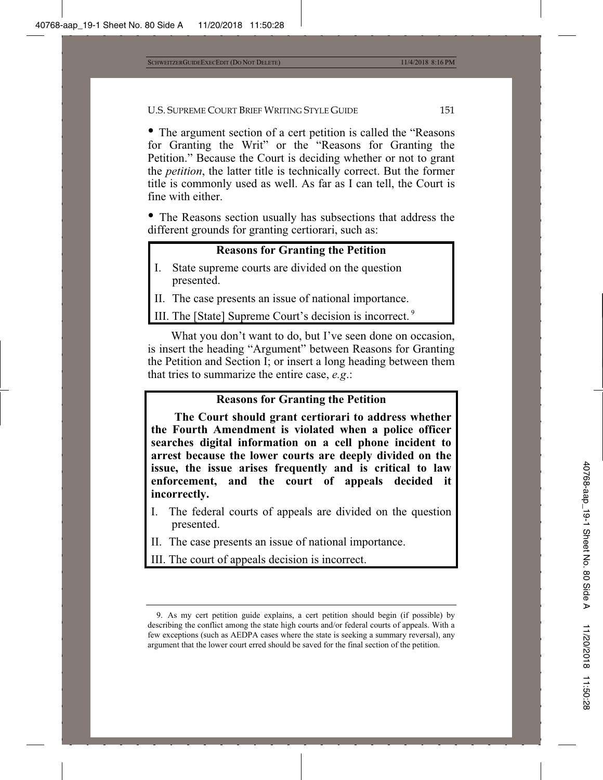• The argument section of a cert petition is called the "Reasons for Granting the Writ" or the "Reasons for Granting the Petition." Because the Court is deciding whether or not to grant the *petition*, the latter title is technically correct. But the former title is commonly used as well. As far as I can tell, the Court is fine with either.

• The Reasons section usually has subsections that address the different grounds for granting certiorari, such as:

## **Reasons for Granting the Petition**

- I. State supreme courts are divided on the question presented.
- II. The case presents an issue of national importance.

III. The [State] Supreme Court's decision is incorrect. 9

What you don't want to do, but I've seen done on occasion, is insert the heading "Argument" between Reasons for Granting the Petition and Section I; or insert a long heading between them that tries to summarize the entire case, *e.g*.:

## **Reasons for Granting the Petition**

**The Court should grant certiorari to address whether the Fourth Amendment is violated when a police officer searches digital information on a cell phone incident to arrest because the lower courts are deeply divided on the issue, the issue arises frequently and is critical to law enforcement, and the court of appeals decided it incorrectly.**

- I. The federal courts of appeals are divided on the question presented.
- II. The case presents an issue of national importance.

III. The court of appeals decision is incorrect.

<sup>9.</sup> As my cert petition guide explains, a cert petition should begin (if possible) by describing the conflict among the state high courts and/or federal courts of appeals. With a few exceptions (such as AEDPA cases where the state is seeking a summary reversal), any argument that the lower court erred should be saved for the final section of the petition.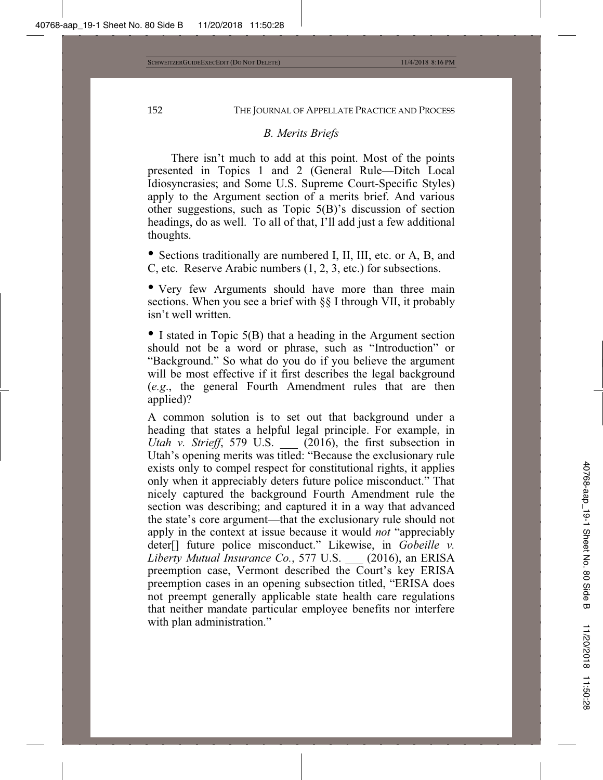### *B. Merits Briefs*

There isn't much to add at this point. Most of the points presented in Topics 1 and 2 (General Rule—Ditch Local Idiosyncrasies; and Some U.S. Supreme Court-Specific Styles) apply to the Argument section of a merits brief. And various other suggestions, such as Topic 5(B)'s discussion of section headings, do as well. To all of that, I'll add just a few additional thoughts.

• Sections traditionally are numbered I, II, III, etc. or A, B, and C, etc. Reserve Arabic numbers (1, 2, 3, etc.) for subsections.

• Very few Arguments should have more than three main sections. When you see a brief with §§ I through VII, it probably isn't well written.

• I stated in Topic 5(B) that a heading in the Argument section should not be a word or phrase, such as "Introduction" or "Background." So what do you do if you believe the argument will be most effective if it first describes the legal background (*e.g*., the general Fourth Amendment rules that are then applied)?

A common solution is to set out that background under a heading that states a helpful legal principle. For example, in *Utah v. Strieff*, 579 U.S. (2016), the first subsection in Utah's opening merits was titled: "Because the exclusionary rule exists only to compel respect for constitutional rights, it applies only when it appreciably deters future police misconduct." That nicely captured the background Fourth Amendment rule the section was describing; and captured it in a way that advanced the state's core argument—that the exclusionary rule should not apply in the context at issue because it would *not* "appreciably deter[] future police misconduct." Likewise, in *Gobeille v. Liberty Mutual Insurance Co.*, 577 U.S. \_\_\_ (2016), an ERISA preemption case, Vermont described the Court's key ERISA preemption cases in an opening subsection titled, "ERISA does not preempt generally applicable state health care regulations that neither mandate particular employee benefits nor interfere with plan administration."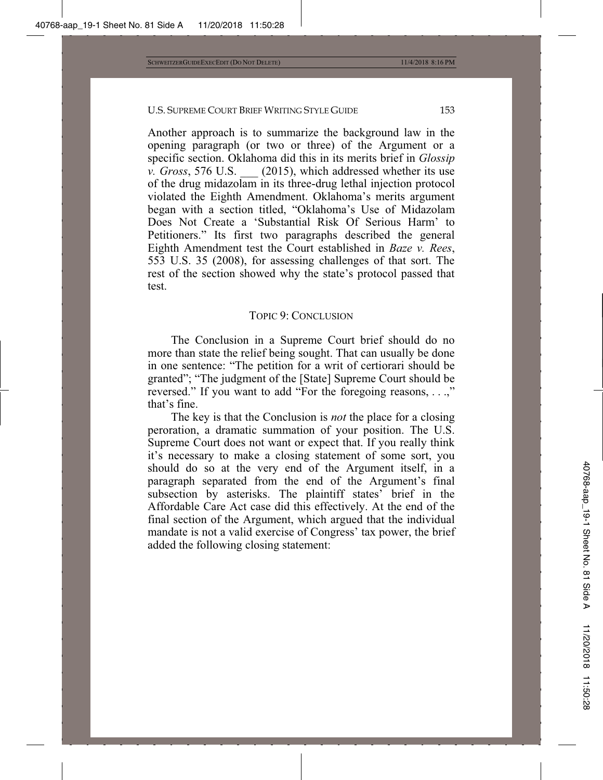Another approach is to summarize the background law in the opening paragraph (or two or three) of the Argument or a specific section. Oklahoma did this in its merits brief in *Glossip v. Gross*, 576 U.S. \_\_\_ (2015), which addressed whether its use of the drug midazolam in its three-drug lethal injection protocol violated the Eighth Amendment. Oklahoma's merits argument began with a section titled, "Oklahoma's Use of Midazolam Does Not Create a 'Substantial Risk Of Serious Harm' to Petitioners." Its first two paragraphs described the general Eighth Amendment test the Court established in *Baze v. Rees*, 553 U.S. 35 (2008), for assessing challenges of that sort. The rest of the section showed why the state's protocol passed that test.

### TOPIC 9: CONCLUSION

The Conclusion in a Supreme Court brief should do no more than state the relief being sought. That can usually be done in one sentence: "The petition for a writ of certiorari should be granted"; "The judgment of the [State] Supreme Court should be reversed." If you want to add "For the foregoing reasons, ...," that's fine.

The key is that the Conclusion is *not* the place for a closing peroration, a dramatic summation of your position. The U.S. Supreme Court does not want or expect that. If you really think it's necessary to make a closing statement of some sort, you should do so at the very end of the Argument itself, in a paragraph separated from the end of the Argument's final subsection by asterisks. The plaintiff states' brief in the Affordable Care Act case did this effectively. At the end of the final section of the Argument, which argued that the individual mandate is not a valid exercise of Congress' tax power, the brief added the following closing statement: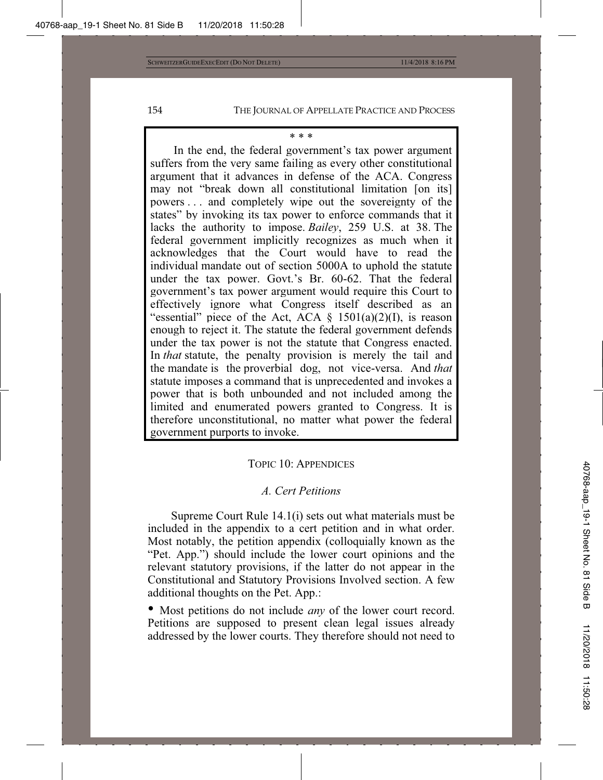#### \* \* \*

In the end, the federal government's tax power argument suffers from the very same failing as every other constitutional argument that it advances in defense of the ACA. Congress may not "break down all constitutional limitation [on its] powers . . . and completely wipe out the sovereignty of the states" by invoking its tax power to enforce commands that it lacks the authority to impose. *Bailey*, 259 U.S. at 38. The federal government implicitly recognizes as much when it acknowledges that the Court would have to read the individual mandate out of section 5000A to uphold the statute under the tax power. Govt.'s Br. 60-62. That the federal government's tax power argument would require this Court to effectively ignore what Congress itself described as an "essential" piece of the Act, ACA  $\S$  1501(a)(2)(I), is reason enough to reject it. The statute the federal government defends under the tax power is not the statute that Congress enacted. In *that* statute, the penalty provision is merely the tail and the mandate is the proverbial dog, not vice-versa. And *that* statute imposes a command that is unprecedented and invokes a power that is both unbounded and not included among the limited and enumerated powers granted to Congress. It is therefore unconstitutional, no matter what power the federal government purports to invoke.

#### TOPIC 10: APPENDICES

### *A. Cert Petitions*

Supreme Court Rule 14.1(i) sets out what materials must be included in the appendix to a cert petition and in what order. Most notably, the petition appendix (colloquially known as the "Pet. App.") should include the lower court opinions and the relevant statutory provisions, if the latter do not appear in the Constitutional and Statutory Provisions Involved section. A few additional thoughts on the Pet. App.:

• Most petitions do not include *any* of the lower court record. Petitions are supposed to present clean legal issues already addressed by the lower courts. They therefore should not need to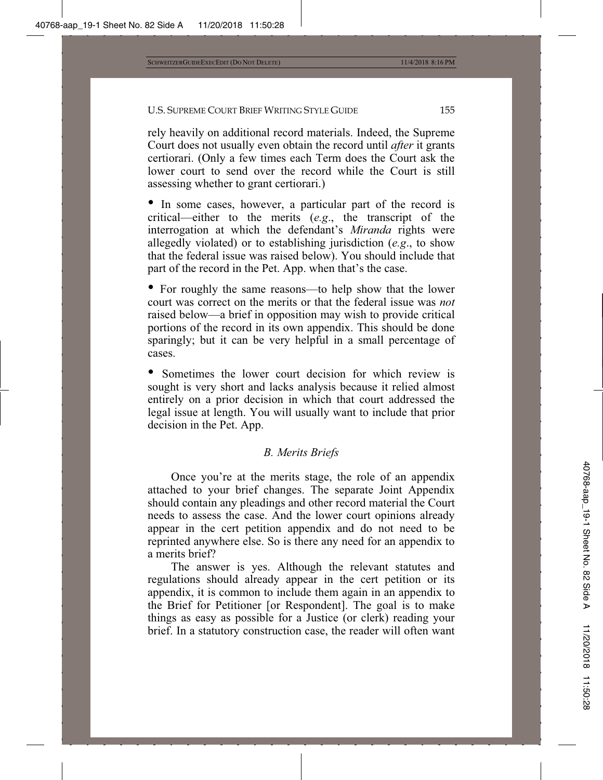rely heavily on additional record materials. Indeed, the Supreme Court does not usually even obtain the record until *after* it grants certiorari. (Only a few times each Term does the Court ask the lower court to send over the record while the Court is still assessing whether to grant certiorari.)

• In some cases, however, a particular part of the record is critical—either to the merits (*e.g*., the transcript of the interrogation at which the defendant's *Miranda* rights were allegedly violated) or to establishing jurisdiction (*e.g*., to show that the federal issue was raised below). You should include that part of the record in the Pet. App. when that's the case.

• For roughly the same reasons—to help show that the lower court was correct on the merits or that the federal issue was *not* raised below—a brief in opposition may wish to provide critical portions of the record in its own appendix. This should be done sparingly; but it can be very helpful in a small percentage of cases.

• Sometimes the lower court decision for which review is sought is very short and lacks analysis because it relied almost entirely on a prior decision in which that court addressed the legal issue at length. You will usually want to include that prior decision in the Pet. App.

## *B. Merits Briefs*

Once you're at the merits stage, the role of an appendix attached to your brief changes. The separate Joint Appendix should contain any pleadings and other record material the Court needs to assess the case. And the lower court opinions already appear in the cert petition appendix and do not need to be reprinted anywhere else. So is there any need for an appendix to a merits brief?

The answer is yes. Although the relevant statutes and regulations should already appear in the cert petition or its appendix, it is common to include them again in an appendix to the Brief for Petitioner [or Respondent]. The goal is to make things as easy as possible for a Justice (or clerk) reading your brief. In a statutory construction case, the reader will often want